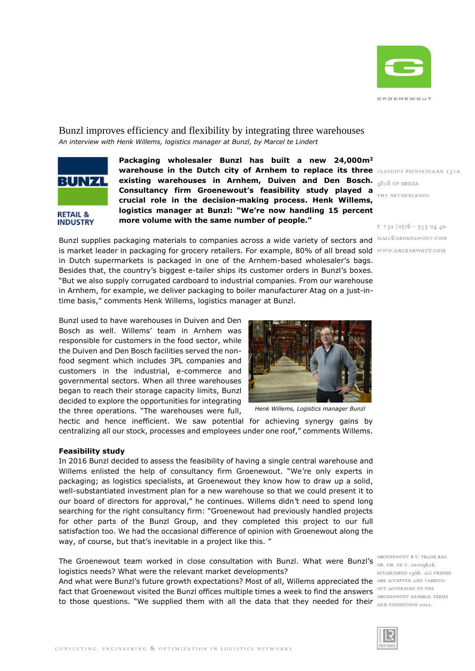

# Bunzl improves efficiency and flexibility by integrating three warehouses *An interview with Henk Willems, logistics manager at Bunzl, by Marcel te Lindert*



**RETAIL & INDUSTRY**  **Packaging wholesaler Bunzl has built a new 24,000m<sup>2</sup> warehouse in the Dutch city of Arnhem to replace its three existing warehouses in Arnhem, Duiven and Den Bosch. Consultancy firm Groenewout's feasibility study played a crucial role in the decision-making process. Henk Willems, logistics manager at Bunzl: "We're now handling 15 percent more volume with the same number of people."**

 $T + 3I(0)76 - 5330440$ 

Bunzl supplies packaging materials to companies across a wide variety of sectors and MAIL@GROENEWOUT.COM is market leader in packaging for grocery retailers. For example, 80% of all bread sold WWW.GROENEWOUT.COM in Dutch supermarkets is packaged in one of the Arnhem-based wholesaler's bags. Besides that, the country's biggest e-tailer ships its customer orders in Bunzl's boxes. "But we also supply corrugated cardboard to industrial companies. From our warehouse in Arnhem, for example, we deliver packaging to boiler manufacturer Atag on a just-intime basis," comments Henk Willems, logistics manager at Bunzl.

Bunzl used to have warehouses in Duiven and Den Bosch as well. Willems' team in Arnhem was responsible for customers in the food sector, while the Duiven and Den Bosch facilities served the nonfood segment which includes 3PL companies and customers in the industrial, e-commerce and governmental sectors. When all three warehouses began to reach their storage capacity limits, Bunzl decided to explore the opportunities for integrating the three operations. "The warehouses were full,



*Henk Willems, Logistics manager Bunzl*

hectic and hence inefficient. We saw potential for achieving synergy gains by centralizing all our stock, processes and employees under one roof," comments Willems.

#### **Feasibility study**

In 2016 Bunzl decided to assess the feasibility of having a single central warehouse and Willems enlisted the help of consultancy firm Groenewout. "We're only experts in packaging; as logistics specialists, at Groenewout they know how to draw up a solid, well-substantiated investment plan for a new warehouse so that we could present it to our board of directors for approval," he continues. Willems didn't need to spend long searching for the right consultancy firm: "Groenewout had previously handled projects for other parts of the Bunzl Group, and they completed this project to our full satisfaction too. We had the occasional difference of opinion with Groenewout along the way, of course, but that's inevitable in a project like this. "

The Groenewout team worked in close consultation with Bunzl. What were Bunzl's NR. CH. OF C. 20009626. logistics needs? What were the relevant market developments?

And what were Bunzl's future growth expectations? Most of all, Willems appreciated the ARE ACCEFTED AND CARRIED-Fact that Groenewout visited the Bunzl offices multiple times a week to find the answers **OUT ACCORDING TO THE** to those questions. "We supplied them with all the data that they needed for their AND CONDITIONS 2012.

GROENEWOUT B.V. TRADE REG. ESTABLISHED 1966. ALL ORDERS

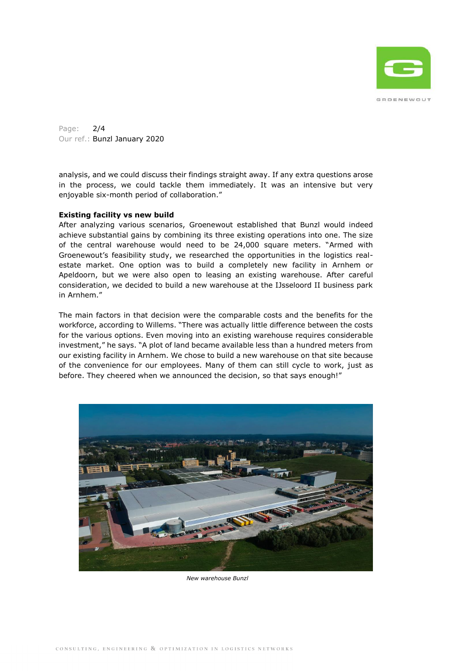

Page: 2/4 Our ref.: Bunzl January 2020

analysis, and we could discuss their findings straight away. If any extra questions arose in the process, we could tackle them immediately. It was an intensive but very enjoyable six-month period of collaboration."

## **Existing facility vs new build**

After analyzing various scenarios, Groenewout established that Bunzl would indeed achieve substantial gains by combining its three existing operations into one. The size of the central warehouse would need to be 24,000 square meters. "Armed with Groenewout's feasibility study, we researched the opportunities in the logistics realestate market. One option was to build a completely new facility in Arnhem or Apeldoorn, but we were also open to leasing an existing warehouse. After careful consideration, we decided to build a new warehouse at the IJsseloord II business park in Arnhem."

The main factors in that decision were the comparable costs and the benefits for the workforce, according to Willems. "There was actually little difference between the costs for the various options. Even moving into an existing warehouse requires considerable investment," he says. "A plot of land became available less than a hundred meters from our existing facility in Arnhem. We chose to build a new warehouse on that site because of the convenience for our employees. Many of them can still cycle to work, just as before. They cheered when we announced the decision, so that says enough!"



 *New warehouse Bunzl*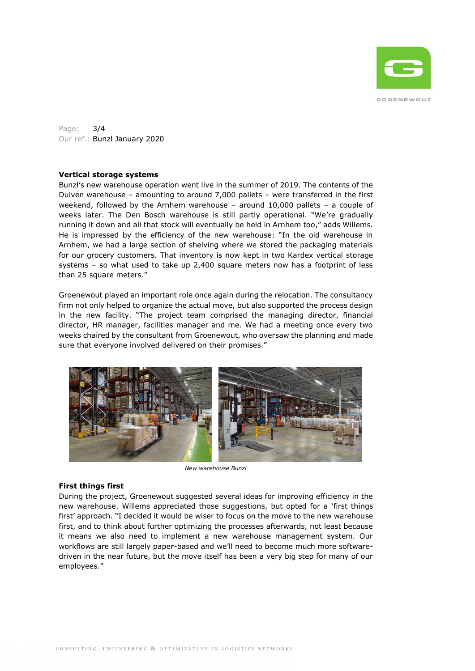

Page: 3/4 Our ref.: Bunzl January 2020

## **Vertical storage systems**

Bunzl's new warehouse operation went live in the summer of 2019. The contents of the Duiven warehouse – amounting to around 7,000 pallets – were transferred in the first weekend, followed by the Arnhem warehouse – around 10,000 pallets – a couple of weeks later. The Den Bosch warehouse is still partly operational. "We're gradually running it down and all that stock will eventually be held in Arnhem too," adds Willems. He is impressed by the efficiency of the new warehouse: "In the old warehouse in Arnhem, we had a large section of shelving where we stored the packaging materials for our grocery customers. That inventory is now kept in two Kardex vertical storage systems – so what used to take up 2,400 square meters now has a footprint of less than 25 square meters."

Groenewout played an important role once again during the relocation. The consultancy firm not only helped to organize the actual move, but also supported the process design in the new facility. "The project team comprised the managing director, financial director, HR manager, facilities manager and me. We had a meeting once every two weeks chaired by the consultant from Groenewout, who oversaw the planning and made sure that everyone involved delivered on their promises."



*New warehouse Bunzl*

## **First things first**

During the project, Groenewout suggested several ideas for improving efficiency in the new warehouse. Willems appreciated those suggestions, but opted for a 'first things first' approach. "I decided it would be wiser to focus on the move to the new warehouse first, and to think about further optimizing the processes afterwards, not least because it means we also need to implement a new warehouse management system. Our workflows are still largely paper-based and we'll need to become much more softwaredriven in the near future, but the move itself has been a very big step for many of our employees."